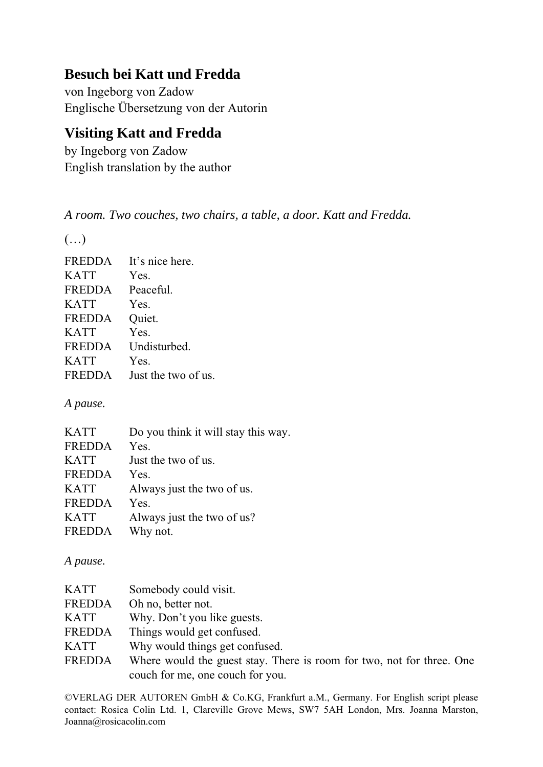## **Besuch bei Katt und Fredda**

von Ingeborg von Zadow Englische Übersetzung von der Autorin

## **Visiting Katt and Fredda**

by Ingeborg von Zadow English translation by the author

*A room. Two couches, two chairs, a table, a door. Katt and Fredda.*

(…)

| It's nice here.     |
|---------------------|
| Yes.                |
| Peaceful.           |
| Yes.                |
| Quiet.              |
| Yes.                |
| Undisturbed.        |
| Yes.                |
| Just the two of us. |
|                     |

## *A pause.*

| <b>KATT</b>   | Do you think it will stay this way. |
|---------------|-------------------------------------|
| <b>FREDDA</b> | Yes.                                |
| <b>KATT</b>   | Just the two of us.                 |
| FREDDA        | Yes.                                |
| <b>KATT</b>   | Always just the two of us.          |
| <b>FREDDA</b> | Yes.                                |
| <b>KATT</b>   | Always just the two of us?          |
| <b>FREDDA</b> | Why not.                            |
|               |                                     |

*A pause.*

| <b>KATT</b>   | Somebody could visit.                                                 |
|---------------|-----------------------------------------------------------------------|
| <b>FREDDA</b> | Oh no, better not.                                                    |
| <b>KATT</b>   | Why. Don't you like guests.                                           |
| <b>FREDDA</b> | Things would get confused.                                            |
| <b>KATT</b>   | Why would things get confused.                                        |
| <b>FREDDA</b> | Where would the guest stay. There is room for two, not for three. One |
|               | couch for me, one couch for you.                                      |

©VERLAG DER AUTOREN GmbH & Co.KG, Frankfurt a.M., Germany. For English script please contact: Rosica Colin Ltd. 1, Clareville Grove Mews, SW7 5AH London, Mrs. Joanna Marston, Joanna@rosicacolin.com